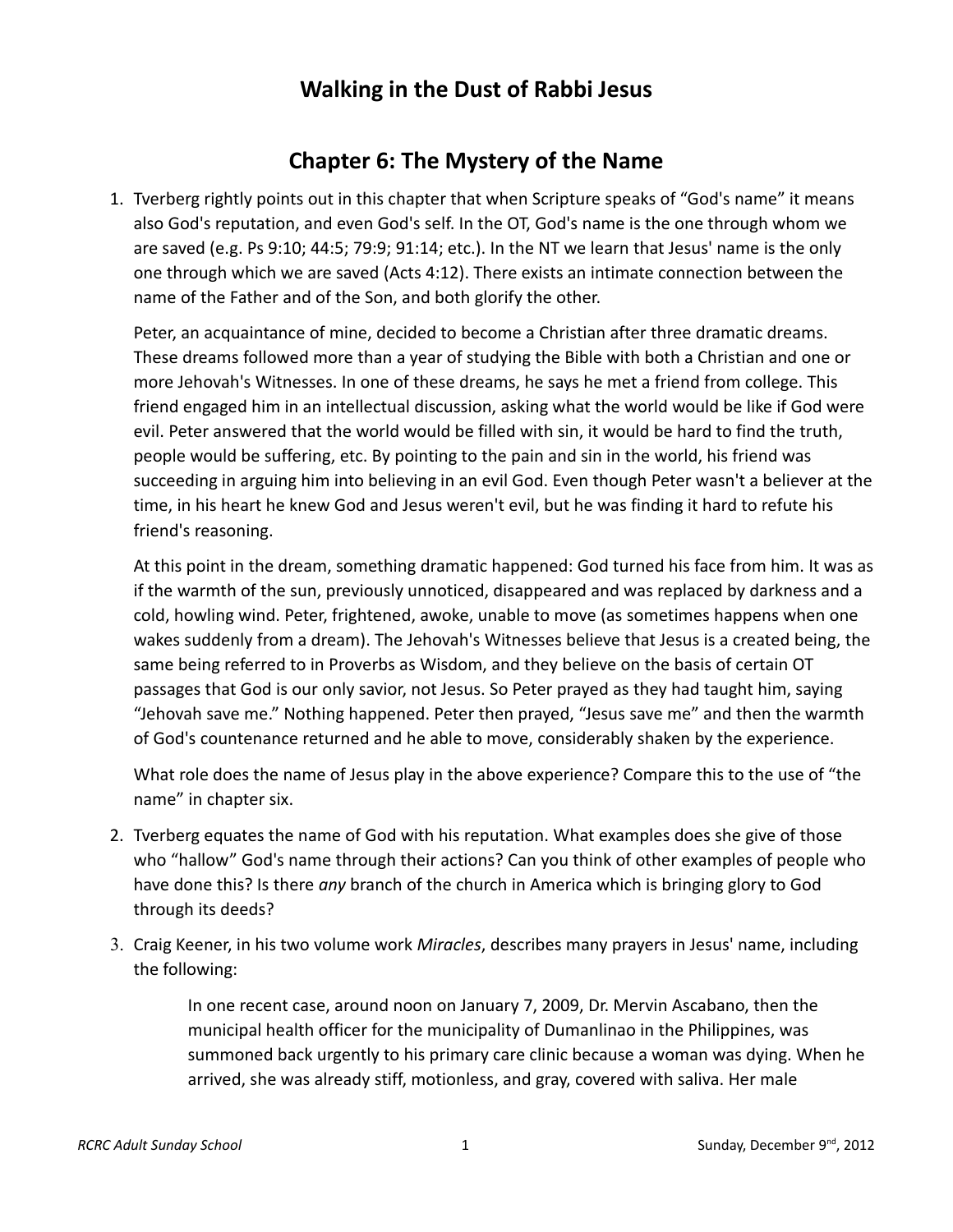## **Walking in the Dust of Rabbi Jesus**

## **Chapter 6: The Mystery of the Name**

 1. Tverberg rightly points out in this chapter that when Scripture speaks of "God's name" it means also God's reputation, and even God's self. In the OT, God's name is the one through whom we are saved (e.g. Ps 9:10; 44:5; 79:9; 91:14; etc.). In the NT we learn that Jesus' name is the only one through which we are saved (Acts 4:12). There exists an intimate connection between the name of the Father and of the Son, and both glorify the other.

Peter, an acquaintance of mine, decided to become a Christian after three dramatic dreams. These dreams followed more than a year of studying the Bible with both a Christian and one or more Jehovah's Witnesses. In one of these dreams, he says he met a friend from college. This friend engaged him in an intellectual discussion, asking what the world would be like if God were evil. Peter answered that the world would be filled with sin, it would be hard to find the truth, people would be suffering, etc. By pointing to the pain and sin in the world, his friend was succeeding in arguing him into believing in an evil God. Even though Peter wasn't a believer at the time, in his heart he knew God and Jesus weren't evil, but he was finding it hard to refute his friend's reasoning.

At this point in the dream, something dramatic happened: God turned his face from him. It was as if the warmth of the sun, previously unnoticed, disappeared and was replaced by darkness and a cold, howling wind. Peter, frightened, awoke, unable to move (as sometimes happens when one wakes suddenly from a dream). The Jehovah's Witnesses believe that Jesus is a created being, the same being referred to in Proverbs as Wisdom, and they believe on the basis of certain OT passages that God is our only savior, not Jesus. So Peter prayed as they had taught him, saying "Jehovah save me." Nothing happened. Peter then prayed, "Jesus save me" and then the warmth of God's countenance returned and he able to move, considerably shaken by the experience.

What role does the name of Jesus play in the above experience? Compare this to the use of "the name" in chapter six.

- 2. Tverberg equates the name of God with his reputation. What examples does she give of those who "hallow" God's name through their actions? Can you think of other examples of people who have done this? Is there *any* branch of the church in America which is bringing glory to God through its deeds?
- 3. Craig Keener, in his two volume work *Miracles*, describes many prayers in Jesus' name, including the following:

In one recent case, around noon on January 7, 2009, Dr. Mervin Ascabano, then the municipal health officer for the municipality of Dumanlinao in the Philippines, was summoned back urgently to his primary care clinic because a woman was dying. When he arrived, she was already stiff, motionless, and gray, covered with saliva. Her male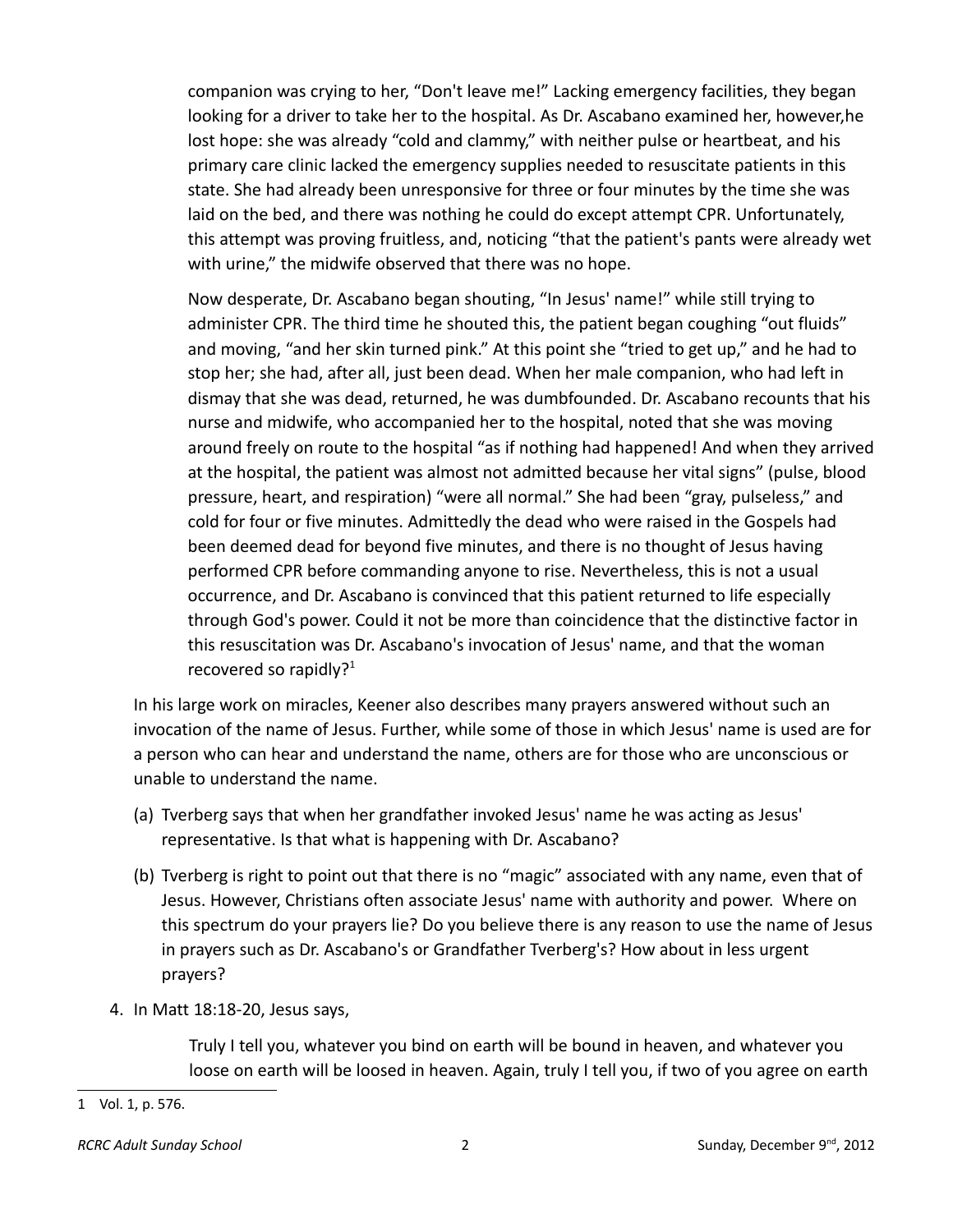companion was crying to her, "Don't leave me!" Lacking emergency facilities, they began looking for a driver to take her to the hospital. As Dr. Ascabano examined her, however,he lost hope: she was already "cold and clammy," with neither pulse or heartbeat, and his primary care clinic lacked the emergency supplies needed to resuscitate patients in this state. She had already been unresponsive for three or four minutes by the time she was laid on the bed, and there was nothing he could do except attempt CPR. Unfortunately, this attempt was proving fruitless, and, noticing "that the patient's pants were already wet with urine," the midwife observed that there was no hope.

Now desperate, Dr. Ascabano began shouting, "In Jesus' name!" while still trying to administer CPR. The third time he shouted this, the patient began coughing "out fluids" and moving, "and her skin turned pink." At this point she "tried to get up," and he had to stop her; she had, after all, just been dead. When her male companion, who had left in dismay that she was dead, returned, he was dumbfounded. Dr. Ascabano recounts that his nurse and midwife, who accompanied her to the hospital, noted that she was moving around freely on route to the hospital "as if nothing had happened! And when they arrived at the hospital, the patient was almost not admitted because her vital signs" (pulse, blood pressure, heart, and respiration) "were all normal." She had been "gray, pulseless," and cold for four or five minutes. Admittedly the dead who were raised in the Gospels had been deemed dead for beyond five minutes, and there is no thought of Jesus having performed CPR before commanding anyone to rise. Nevertheless, this is not a usual occurrence, and Dr. Ascabano is convinced that this patient returned to life especially through God's power. Could it not be more than coincidence that the distinctive factor in this resuscitation was Dr. Ascabano's invocation of Jesus' name, and that the woman recovered so rapidly? $1$ 

In his large work on miracles, Keener also describes many prayers answered without such an invocation of the name of Jesus. Further, while some of those in which Jesus' name is used are for a person who can hear and understand the name, others are for those who are unconscious or unable to understand the name.

- (a) Tverberg says that when her grandfather invoked Jesus' name he was acting as Jesus' representative. Is that what is happening with Dr. Ascabano?
- (b) Tverberg is right to point out that there is no "magic" associated with any name, even that of Jesus. However, Christians often associate Jesus' name with authority and power. Where on this spectrum do your prayers lie? Do you believe there is any reason to use the name of Jesus in prayers such as Dr. Ascabano's or Grandfather Tverberg's? How about in less urgent prayers?
- 4. In Matt 18:18-20, Jesus says,

Truly I tell you, whatever you bind on earth will be bound in heaven, and whatever you loose on earth will be loosed in heaven. Again, truly I tell you, if two of you agree on earth

<span id="page-1-0"></span><sup>1</sup> Vol. 1, p. 576.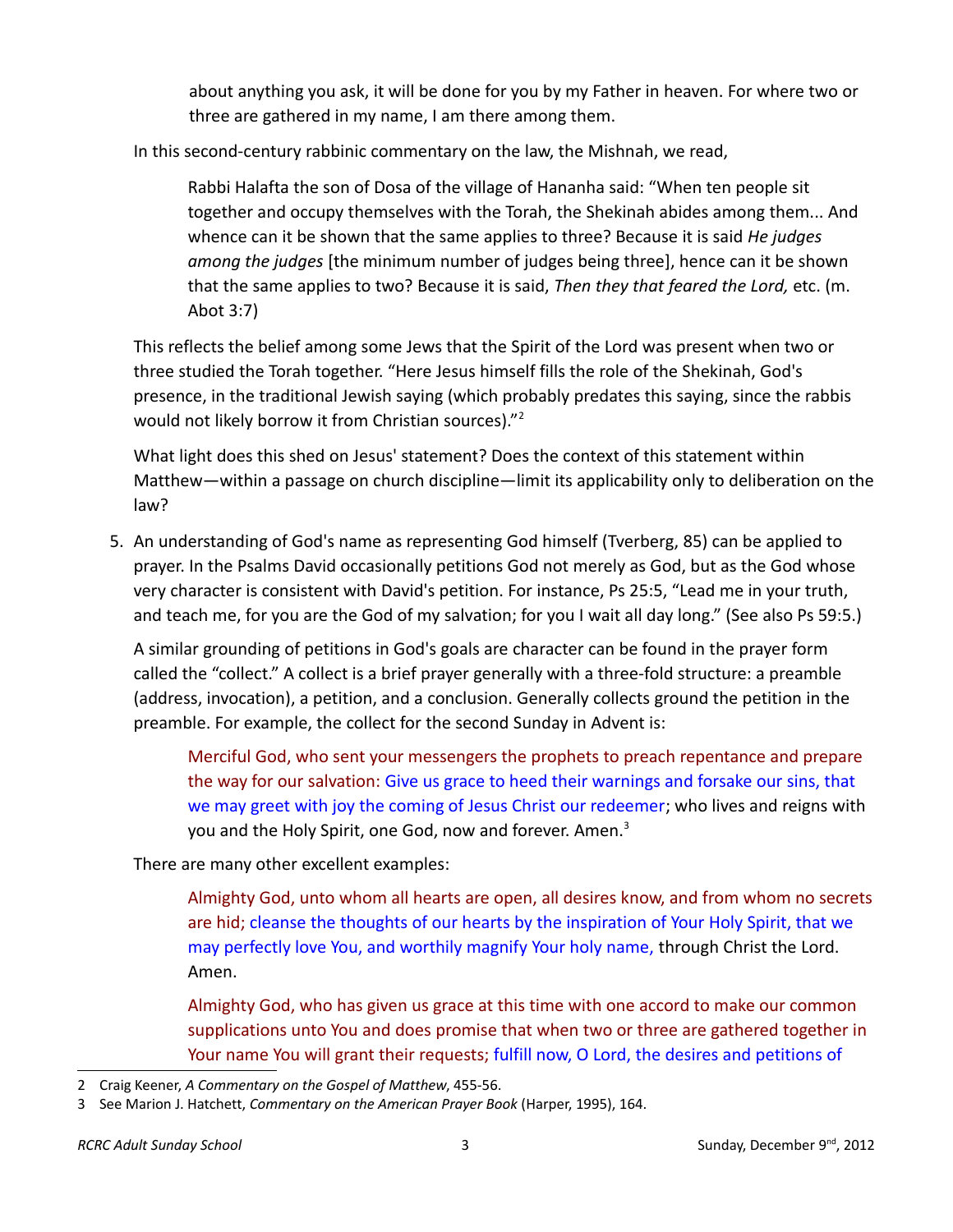about anything you ask, it will be done for you by my Father in heaven. For where two or three are gathered in my name, I am there among them.

In this second-century rabbinic commentary on the law, the Mishnah, we read,

Rabbi Halafta the son of Dosa of the village of Hananha said: "When ten people sit together and occupy themselves with the Torah, the Shekinah abides among them... And whence can it be shown that the same applies to three? Because it is said *He judges among the judges* [the minimum number of judges being three], hence can it be shown that the same applies to two? Because it is said, *Then they that feared the Lord,* etc. (m. Abot 3:7)

This reflects the belief among some Jews that the Spirit of the Lord was present when two or three studied the Torah together. "Here Jesus himself fills the role of the Shekinah, God's presence, in the traditional Jewish saying (which probably predates this saying, since the rabbis would not likely borrow it from Christian sources)."<sup>[2](#page-2-0)</sup>

What light does this shed on Jesus' statement? Does the context of this statement within Matthew—within a passage on church discipline—limit its applicability only to deliberation on the law?

 5. An understanding of God's name as representing God himself (Tverberg, 85) can be applied to prayer. In the Psalms David occasionally petitions God not merely as God, but as the God whose very character is consistent with David's petition. For instance, Ps 25:5, "Lead me in your truth, and teach me, for you are the God of my salvation; for you I wait all day long." (See also Ps 59:5.)

A similar grounding of petitions in God's goals are character can be found in the prayer form called the "collect." A collect is a brief prayer generally with a three-fold structure: a preamble (address, invocation), a petition, and a conclusion. Generally collects ground the petition in the preamble. For example, the collect for the second Sunday in Advent is:

Merciful God, who sent your messengers the prophets to preach repentance and prepare the way for our salvation: Give us grace to heed their warnings and forsake our sins, that we may greet with joy the coming of Jesus Christ our redeemer; who lives and reigns with you and the Holy Spirit, one God, now and forever. Amen.<sup>[3](#page-2-1)</sup>

There are many other excellent examples:

Almighty God, unto whom all hearts are open, all desires know, and from whom no secrets are hid; cleanse the thoughts of our hearts by the inspiration of Your Holy Spirit, that we may perfectly love You, and worthily magnify Your holy name, through Christ the Lord. Amen.

Almighty God, who has given us grace at this time with one accord to make our common supplications unto You and does promise that when two or three are gathered together in Your name You will grant their requests; fulfill now, O Lord, the desires and petitions of

<span id="page-2-0"></span><sup>2</sup> Craig Keener, *A Commentary on the Gospel of Matthew*, 455-56.

<span id="page-2-1"></span><sup>3</sup> See Marion J. Hatchett, *Commentary on the American Prayer Book* (Harper, 1995), 164.